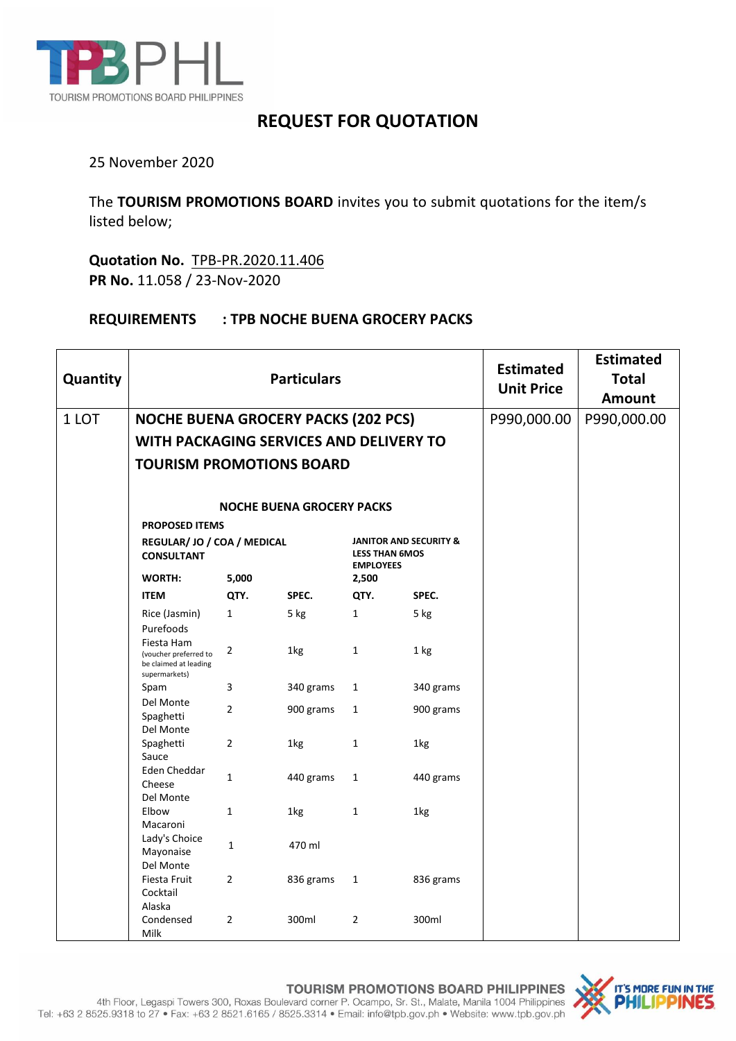

## **REQUEST FOR QUOTATION**

## 25 November 2020

The **TOURISM PROMOTIONS BOARD** invites you to submit quotations for the item/s listed below;

**Quotation No.** TPB-PR.2020.11.406 **PR No.** 11.058 / 23-Nov-2020

## **REQUIREMENTS : TPB NOCHE BUENA GROCERY PACKS**

| Quantity |                                                                               | <b>Particulars</b>               | <b>Estimated</b><br><b>Unit Price</b> | <b>Estimated</b><br><b>Total</b><br><b>Amount</b>                              |           |  |  |
|----------|-------------------------------------------------------------------------------|----------------------------------|---------------------------------------|--------------------------------------------------------------------------------|-----------|--|--|
| 1 LOT    | <b>NOCHE BUENA GROCERY PACKS (202 PCS)</b>                                    |                                  | P990,000.00                           | P990,000.00                                                                    |           |  |  |
|          | WITH PACKAGING SERVICES AND DELIVERY TO                                       |                                  |                                       |                                                                                |           |  |  |
|          | <b>TOURISM PROMOTIONS BOARD</b>                                               |                                  |                                       |                                                                                |           |  |  |
|          |                                                                               | <b>NOCHE BUENA GROCERY PACKS</b> |                                       |                                                                                |           |  |  |
|          | <b>PROPOSED ITEMS</b>                                                         |                                  |                                       |                                                                                |           |  |  |
|          | REGULAR/ JO / COA / MEDICAL<br><b>CONSULTANT</b>                              |                                  |                                       | <b>JANITOR AND SECURITY &amp;</b><br><b>LESS THAN 6MOS</b><br><b>EMPLOYEES</b> |           |  |  |
|          | <b>WORTH:</b>                                                                 | 5,000                            |                                       | 2,500                                                                          |           |  |  |
|          | <b>ITEM</b>                                                                   | QTY.                             | SPEC.                                 | QTY.                                                                           | SPEC.     |  |  |
|          | Rice (Jasmin)                                                                 | $\mathbf{1}$                     | 5 kg                                  | $\mathbf{1}$                                                                   | 5 kg      |  |  |
|          | Purefoods                                                                     |                                  |                                       |                                                                                |           |  |  |
|          | Fiesta Ham<br>(voucher preferred to<br>be claimed at leading<br>supermarkets) | $\mathbf 2$                      | 1kg                                   | $\mathbf{1}$                                                                   | 1 kg      |  |  |
|          | Spam                                                                          | 3                                | 340 grams                             | $\mathbf{1}$                                                                   | 340 grams |  |  |
|          | Del Monte<br>Spaghetti<br>Del Monte                                           | $\overline{2}$                   | 900 grams                             | $\mathbf{1}$                                                                   | 900 grams |  |  |
|          | Spaghetti<br>Sauce                                                            | $\overline{2}$                   | 1kg                                   | $\mathbf{1}$                                                                   | 1kg       |  |  |
|          | Eden Cheddar<br>Cheese<br>Del Monte                                           | $\mathbf{1}$                     | 440 grams                             | $\mathbf{1}$                                                                   | 440 grams |  |  |
|          | Elbow                                                                         | $\mathbf{1}$                     | 1kg                                   | $\mathbf{1}$                                                                   | 1kg       |  |  |
|          | Macaroni<br>Lady's Choice<br>Mayonaise<br>Del Monte                           | $\mathbf{1}$                     | 470 ml                                |                                                                                |           |  |  |
|          | Fiesta Fruit<br>Cocktail                                                      | $\overline{2}$                   | 836 grams                             | $\mathbf{1}$                                                                   | 836 grams |  |  |
|          | Alaska<br>Condensed<br>Milk                                                   | $\overline{2}$                   | 300ml                                 | $\overline{2}$                                                                 | 300ml     |  |  |